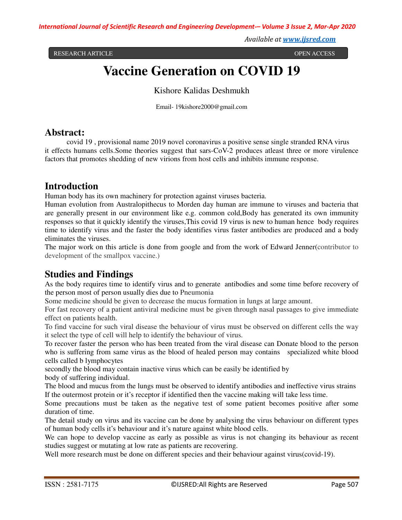*Available at www.ijsred.com*

RESEARCH ARTICLE OPEN ACCESS

# **Vaccine Generation on COVID 19**

Kishore Kalidas Deshmukh

Email- 19kishore2000@gmail.com

#### **Abstract:**

covid 19 , provisional name 2019 novel coronavirus a positive sense single stranded RNA virus it effects humans cells.Some theories suggest that sars-CoV-2 produces atleast three or more virulence factors that promotes shedding of new virions from host cells and inhibits immune response.

#### **Introduction**

Human body has its own machinery for protection against viruses bacteria.

Human evolution from Australopithecus to Morden day human are immune to viruses and bacteria that are generally present in our environment like e.g. common cold,Body has generated its own immunity responses so that it quickly identify the viruses,This covid 19 virus is new to human hence body requires time to identify virus and the faster the body identifies virus faster antibodies are produced and a body eliminates the viruses.

The major work on this article is done from google and from the work of Edward Jenner(contributor to development of the smallpox vaccine.)

### **Studies and Findings**

As the body requires time to identify virus and to generate antibodies and some time before recovery of the person most of person usually dies due to Pneumonia

Some medicine should be given to decrease the mucus formation in lungs at large amount.

For fast recovery of a patient antiviral medicine must be given through nasal passages to give immediate effect on patients health.

To find vaccine for such viral disease the behaviour of virus must be observed on different cells the way it select the type of cell will help to identify the behaviour of virus.

To recover faster the person who has been treated from the viral disease can Donate blood to the person who is suffering from same virus as the blood of healed person may contains specialized white blood cells called b lymphocytes

secondly the blood may contain inactive virus which can be easily be identified by body of suffering individual.

The blood and mucus from the lungs must be observed to identify antibodies and ineffective virus strains If the outermost protein or it's receptor if identified then the vaccine making will take less time.

Some precautions must be taken as the negative test of some patient becomes positive after some duration of time.

The detail study on virus and its vaccine can be done by analysing the virus behaviour on different types of human body cells it's behaviour and it's nature against white blood cells.

We can hope to develop vaccine as early as possible as virus is not changing its behaviour as recent studies suggest or mutating at low rate as patients are recovering.

Well more research must be done on different species and their behaviour against virus(covid-19).